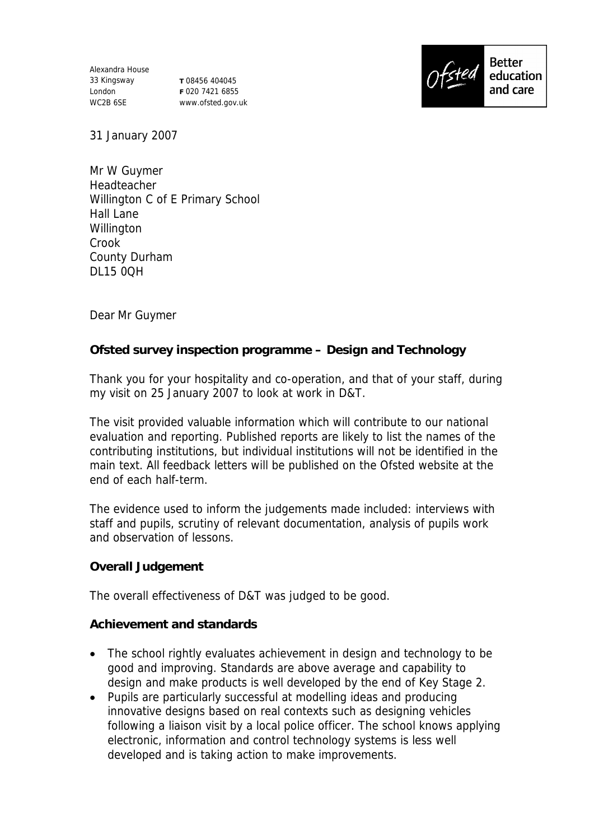Alexandra House 33 Kingsway London WC2B 6SE

**T** 08456 404045 **F** 020 7421 6855 www.ofsted.gov.uk



31 January 2007

Mr W Guymer Headteacher Willington C of E Primary School Hall Lane **Willington** Crook County Durham DL15 0QH

Dear Mr Guymer

**Ofsted survey inspection programme – Design and Technology**

Thank you for your hospitality and co-operation, and that of your staff, during my visit on 25 January 2007 to look at work in D&T.

The visit provided valuable information which will contribute to our national evaluation and reporting. Published reports are likely to list the names of the contributing institutions, but individual institutions will not be identified in the main text. All feedback letters will be published on the Ofsted website at the end of each half-term.

The evidence used to inform the judgements made included: interviews with staff and pupils, scrutiny of relevant documentation, analysis of pupils work and observation of lessons.

**Overall Judgement**

The overall effectiveness of D&T was judged to be good.

**Achievement and standards**

- The school rightly evaluates achievement in design and technology to be good and improving. Standards are above average and capability to design and make products is well developed by the end of Key Stage 2.
- Pupils are particularly successful at modelling ideas and producing innovative designs based on real contexts such as designing vehicles following a liaison visit by a local police officer. The school knows applying electronic, information and control technology systems is less well developed and is taking action to make improvements.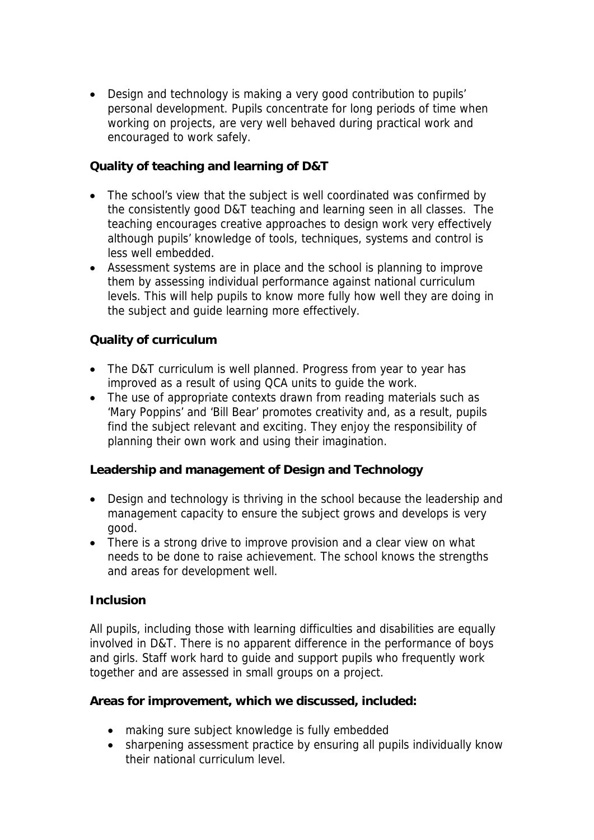Design and technology is making a very good contribution to pupils' personal development. Pupils concentrate for long periods of time when working on projects, are very well behaved during practical work and encouraged to work safely.

**Quality of teaching and learning of D&T**

- The school's view that the subject is well coordinated was confirmed by the consistently good D&T teaching and learning seen in all classes. The teaching encourages creative approaches to design work very effectively although pupils' knowledge of tools, techniques, systems and control is less well embedded.
- Assessment systems are in place and the school is planning to improve them by assessing individual performance against national curriculum levels. This will help pupils to know more fully how well they are doing in the subject and guide learning more effectively.

## **Quality of curriculum**

- The D&T curriculum is well planned. Progress from year to year has improved as a result of using QCA units to guide the work.
- The use of appropriate contexts drawn from reading materials such as 'Mary Poppins' and 'Bill Bear' promotes creativity and, as a result, pupils find the subject relevant and exciting. They enjoy the responsibility of planning their own work and using their imagination.

**Leadership and management of Design and Technology**

- Design and technology is thriving in the school because the leadership and management capacity to ensure the subject grows and develops is very good.
- There is a strong drive to improve provision and a clear view on what needs to be done to raise achievement. The school knows the strengths and areas for development well.

## **Inclusion**

All pupils, including those with learning difficulties and disabilities are equally involved in D&T. There is no apparent difference in the performance of boys and girls. Staff work hard to guide and support pupils who frequently work together and are assessed in small groups on a project.

**Areas for improvement, which we discussed, included:**

- making sure subject knowledge is fully embedded
- sharpening assessment practice by ensuring all pupils individually know their national curriculum level.